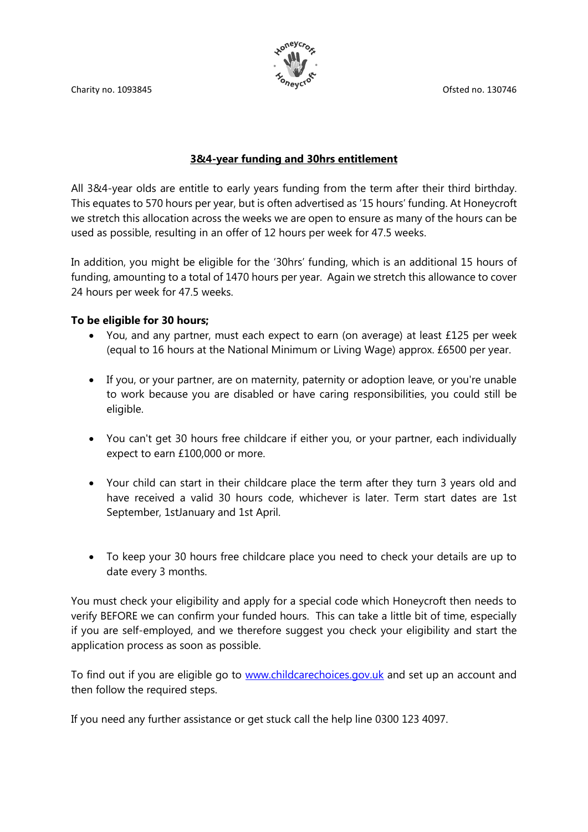Charity no. 1093845 Ofsted no. 130746



# **3&4-year funding and 30hrs entitlement**

All 3&4-year olds are entitle to early years funding from the term after their third birthday. This equates to 570 hours per year, but is often advertised as '15 hours' funding. At Honeycroft we stretch this allocation across the weeks we are open to ensure as many of the hours can be used as possible, resulting in an offer of 12 hours per week for 47.5 weeks.

In addition, you might be eligible for the '30hrs' funding, which is an additional 15 hours of funding, amounting to a total of 1470 hours per year. Again we stretch this allowance to cover 24 hours per week for 47.5 weeks.

## **To be eligible for 30 hours;**

- You, and any partner, must each expect to earn (on average) at least £125 per week (equal to 16 hours at the National Minimum or Living Wage) approx. £6500 per year.
- If you, or your partner, are on maternity, paternity or adoption leave, or you're unable to work because you are disabled or have caring responsibilities, you could still be eligible.
- You can't get 30 hours free childcare if either you, or your partner, each individually expect to earn £100,000 or more.
- Your child can start in their childcare place the term after they turn 3 years old and have received a valid 30 hours code, whichever is later. Term start dates are 1st September, 1stJanuary and 1st April.
- To keep your 30 hours free childcare place you need to check your details are up to date every 3 months.

You must check your eligibility and apply for a special code which Honeycroft then needs to verify BEFORE we can confirm your funded hours. This can take a little bit of time, especially if you are self-employed, and we therefore suggest you check your eligibility and start the application process as soon as possible.

To find out if you are eligible go to [www.childcarechoices.gov.uk](http://www.childcarechoices.gov.uk/) and set up an account and then follow the required steps.

If you need any further assistance or get stuck call the help line 0300 123 4097.